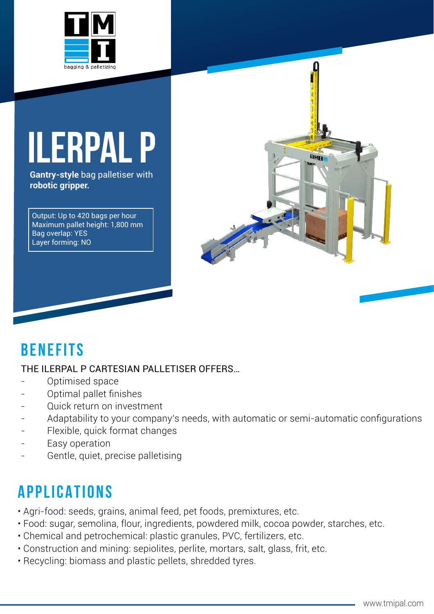

# **ILERPAI**

**Gantry-style** bag palletiser with **robotic gripper.**

Output: Up to 420 bags per hour Maximum pallet height: 1,800 mm Bag overlap: YES Layer forming: NO



## **BenefiTs**

#### THE ILERPAL P CARTESIAN PALLETISER OFFERS…

- Optimised space
- Optimal pallet finishes
- Quick return on investment
- Adaptability to your company's needs, with automatic or semi-automatic configurations
- Flexible, quick format changes
- Easy operation
- Gentle, quiet, precise palletising

## **APPLICATIONS**

- Agri-food: seeds, grains, animal feed, pet foods, premixtures, etc.
- Food: sugar, semolina, flour, ingredients, powdered milk, cocoa powder, starches, etc.
- Chemical and petrochemical: plastic granules, PVC, fertilizers, etc.
- Construction and mining: sepiolites, perlite, mortars, salt, glass, frit, etc.
- Recycling: biomass and plastic pellets, shredded tyres.